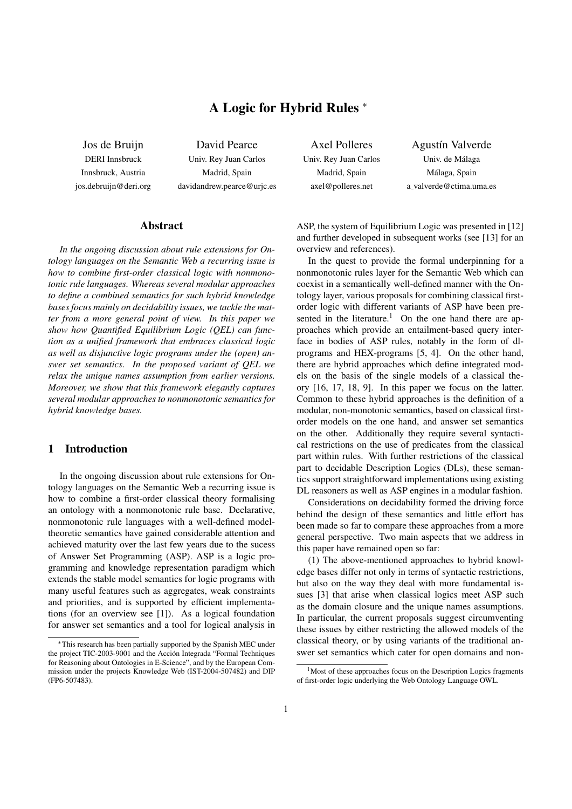# A Logic for Hybrid Rules <sup>∗</sup>

Jos de Bruijn DERI Innsbruck Innsbruck, Austria jos.debruijn@deri.org

David Pearce Univ. Rey Juan Carlos Madrid, Spain davidandrew.pearce@urjc.es

### Abstract

*In the ongoing discussion about rule extensions for Ontology languages on the Semantic Web a recurring issue is how to combine first-order classical logic with nonmonotonic rule languages. Whereas several modular approaches to define a combined semantics for such hybrid knowledge bases focus mainly on decidability issues, we tackle the matter from a more general point of view. In this paper we show how Quantified Equilibrium Logic (QEL) can function as a unified framework that embraces classical logic as well as disjunctive logic programs under the (open) answer set semantics. In the proposed variant of QEL we relax the unique names assumption from earlier versions. Moreover, we show that this framework elegantly captures several modular approaches to nonmonotonic semantics for hybrid knowledge bases.*

# 1 Introduction

In the ongoing discussion about rule extensions for Ontology languages on the Semantic Web a recurring issue is how to combine a first-order classical theory formalising an ontology with a nonmonotonic rule base. Declarative, nonmonotonic rule languages with a well-defined modeltheoretic semantics have gained considerable attention and achieved maturity over the last few years due to the sucess of Answer Set Programming (ASP). ASP is a logic programming and knowledge representation paradigm which extends the stable model semantics for logic programs with many useful features such as aggregates, weak constraints and priorities, and is supported by efficient implementations (for an overview see [1]). As a logical foundation for answer set semantics and a tool for logical analysis in

Axel Polleres Univ. Rey Juan Carlos Madrid, Spain axel@polleres.net

Agustín Valverde Univ. de Málaga Málaga, Spain a valverde@ctima.uma.es

ASP, the system of Equilibrium Logic was presented in [12] and further developed in subsequent works (see [13] for an overview and references).

In the quest to provide the formal underpinning for a nonmonotonic rules layer for the Semantic Web which can coexist in a semantically well-defined manner with the Ontology layer, various proposals for combining classical firstorder logic with different variants of ASP have been presented in the literature.<sup>1</sup> On the one hand there are approaches which provide an entailment-based query interface in bodies of ASP rules, notably in the form of dlprograms and HEX-programs [5, 4]. On the other hand, there are hybrid approaches which define integrated models on the basis of the single models of a classical theory [16, 17, 18, 9]. In this paper we focus on the latter. Common to these hybrid approaches is the definition of a modular, non-monotonic semantics, based on classical firstorder models on the one hand, and answer set semantics on the other. Additionally they require several syntactical restrictions on the use of predicates from the classical part within rules. With further restrictions of the classical part to decidable Description Logics (DLs), these semantics support straightforward implementations using existing DL reasoners as well as ASP engines in a modular fashion.

Considerations on decidability formed the driving force behind the design of these semantics and little effort has been made so far to compare these approaches from a more general perspective. Two main aspects that we address in this paper have remained open so far:

(1) The above-mentioned approaches to hybrid knowledge bases differ not only in terms of syntactic restrictions, but also on the way they deal with more fundamental issues [3] that arise when classical logics meet ASP such as the domain closure and the unique names assumptions. In particular, the current proposals suggest circumventing these issues by either restricting the allowed models of the classical theory, or by using variants of the traditional answer set semantics which cater for open domains and non-

<sup>∗</sup>This research has been partially supported by the Spanish MEC under the project TIC-2003-9001 and the Acción Integrada "Formal Techniques for Reasoning about Ontologies in E-Science", and by the European Commission under the projects Knowledge Web (IST-2004-507482) and DIP (FP6-507483).

<sup>&</sup>lt;sup>1</sup>Most of these approaches focus on the Description Logics fragments of first-order logic underlying the Web Ontology Language OWL.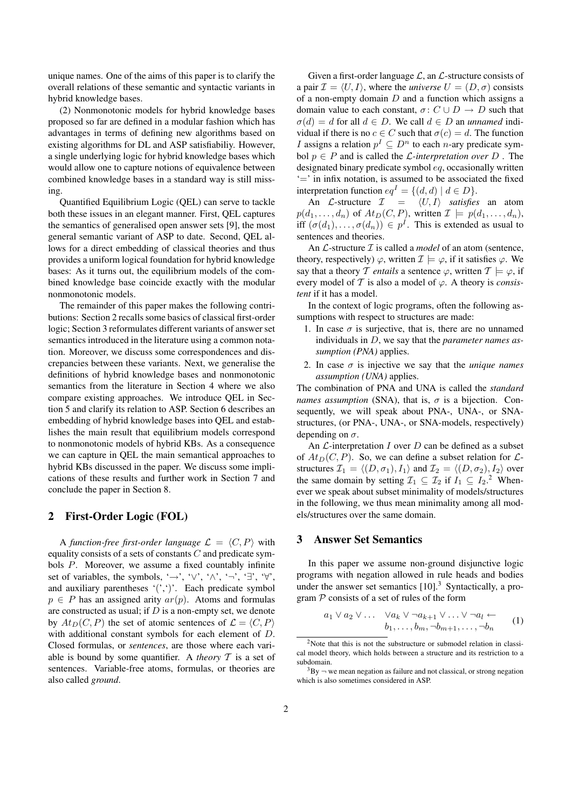unique names. One of the aims of this paper is to clarify the overall relations of these semantic and syntactic variants in hybrid knowledge bases.

(2) Nonmonotonic models for hybrid knowledge bases proposed so far are defined in a modular fashion which has advantages in terms of defining new algorithms based on existing algorithms for DL and ASP satisfiabiliy. However, a single underlying logic for hybrid knowledge bases which would allow one to capture notions of equivalence between combined knowledge bases in a standard way is still missing.

Quantified Equilibrium Logic (QEL) can serve to tackle both these issues in an elegant manner. First, QEL captures the semantics of generalised open answer sets [9], the most general semantic variant of ASP to date. Second, QEL allows for a direct embedding of classical theories and thus provides a uniform logical foundation for hybrid knowledge bases: As it turns out, the equilibrium models of the combined knowledge base coincide exactly with the modular nonmonotonic models.

The remainder of this paper makes the following contributions: Section 2 recalls some basics of classical first-order logic; Section 3 reformulates different variants of answer set semantics introduced in the literature using a common notation. Moreover, we discuss some correspondences and discrepancies between these variants. Next, we generalise the definitions of hybrid knowledge bases and nonmonotonic semantics from the literature in Section 4 where we also compare existing approaches. We introduce QEL in Section 5 and clarify its relation to ASP. Section 6 describes an embedding of hybrid knowledge bases into QEL and establishes the main result that equilibrium models correspond to nonmonotonic models of hybrid KBs. As a consequence we can capture in QEL the main semantical approaches to hybrid KBs discussed in the paper. We discuss some implications of these results and further work in Section 7 and conclude the paper in Section 8.

# 2 First-Order Logic (FOL)

A *function-free first-order language*  $\mathcal{L} = \langle C, P \rangle$  with equality consists of a sets of constants  $C$  and predicate symbols P. Moreover, we assume a fixed countably infinite set of variables, the symbols, '→', ' $\vee$ ', ' $\wedge$ ', '¬', '∃', ' $\forall$ ', and auxiliary parentheses  $'($ ,  $')'$ . Each predicate symbol  $p \in P$  has an assigned arity  $ar(p)$ . Atoms and formulas are constructed as usual; if  $D$  is a non-empty set, we denote by  $At_D(C, P)$  the set of atomic sentences of  $\mathcal{L} = \langle C, P \rangle$ with additional constant symbols for each element of D. Closed formulas, or *sentences*, are those where each variable is bound by some quantifier. A *theory* T is a set of sentences. Variable-free atoms, formulas, or theories are also called *ground*.

Given a first-order language  $\mathcal{L}$ , an  $\mathcal{L}$ -structure consists of a pair  $\mathcal{I} = \langle U, I \rangle$ , where the *universe*  $U = (D, \sigma)$  consists of a non-empty domain  $D$  and a function which assigns a domain value to each constant,  $\sigma: C \cup D \rightarrow D$  such that  $\sigma(d) = d$  for all  $d \in D$ . We call  $d \in D$  an *unnamed* individual if there is no  $c \in C$  such that  $\sigma(c) = d$ . The function *I* assigns a relation  $p^I \subseteq D^n$  to each *n*-ary predicate symbol  $p \in P$  and is called the *L*-interpretation over D. The designated binary predicate symbol eq, occasionally written '=' in infix notation, is assumed to be associated the fixed interpretation function  $eq^I = \{(d, d) | d \in D\}.$ 

An *L*-structure  $I = \langle U, I \rangle$  *satisfies* an atom  $p(d_1, \ldots, d_n)$  of  $At_D(C, P)$ , written  $\mathcal{I} \models p(d_1, \ldots, d_n)$ , iff  $(\sigma(d_1), \ldots, \sigma(d_n)) \in p^I$ . This is extended as usual to sentences and theories.

An  $\mathcal{L}$ -structure  $\mathcal I$  is called a *model* of an atom (sentence, theory, respectively)  $\varphi$ , written  $\mathcal{I} \models \varphi$ , if it satisfies  $\varphi$ . We say that a theory T *entails* a sentence  $\varphi$ , written  $T \models \varphi$ , if every model of  $T$  is also a model of  $\varphi$ . A theory is *consistent* if it has a model.

In the context of logic programs, often the following assumptions with respect to structures are made:

- 1. In case  $\sigma$  is surjective, that is, there are no unnamed individuals in D, we say that the *parameter names assumption (PNA)* applies.
- 2. In case  $\sigma$  is injective we say that the *unique names assumption (UNA)* applies.

The combination of PNA and UNA is called the *standard names assumption* (SNA), that is,  $\sigma$  is a bijection. Consequently, we will speak about PNA-, UNA-, or SNAstructures, (or PNA-, UNA-, or SNA-models, respectively) depending on  $\sigma$ .

An  $\mathcal{L}$ -interpretation  $I$  over  $D$  can be defined as a subset of  $At_D(C, P)$ . So, we can define a subset relation for  $\mathcal{L}$ structures  $\mathcal{I}_1 = \langle (D, \sigma_1), I_1 \rangle$  and  $\mathcal{I}_2 = \langle (D, \sigma_2), I_2 \rangle$  over the same domain by setting  $\mathcal{I}_1 \subseteq \mathcal{I}_2$  if  $I_1 \subseteq I_2$ .<sup>2</sup> Whenever we speak about subset minimality of models/structures in the following, we thus mean minimality among all models/structures over the same domain.

# 3 Answer Set Semantics

In this paper we assume non-ground disjunctive logic programs with negation allowed in rule heads and bodies under the answer set semantics  $[10]$ <sup>3</sup> Syntactically, a program  $P$  consists of a set of rules of the form

$$
a_1 \vee a_2 \vee \ldots \vee a_k \vee \neg a_{k+1} \vee \ldots \vee \neg a_l \leftarrow b_1, \ldots, b_m, \neg b_{m+1}, \ldots, \neg b_n
$$
 (1)

<sup>&</sup>lt;sup>2</sup>Note that this is not the substructure or submodel relation in classical model theory, which holds between a structure and its restriction to a subdomain.

 $3By$   $\rightarrow$  we mean negation as failure and not classical, or strong negation which is also sometimes considered in ASP.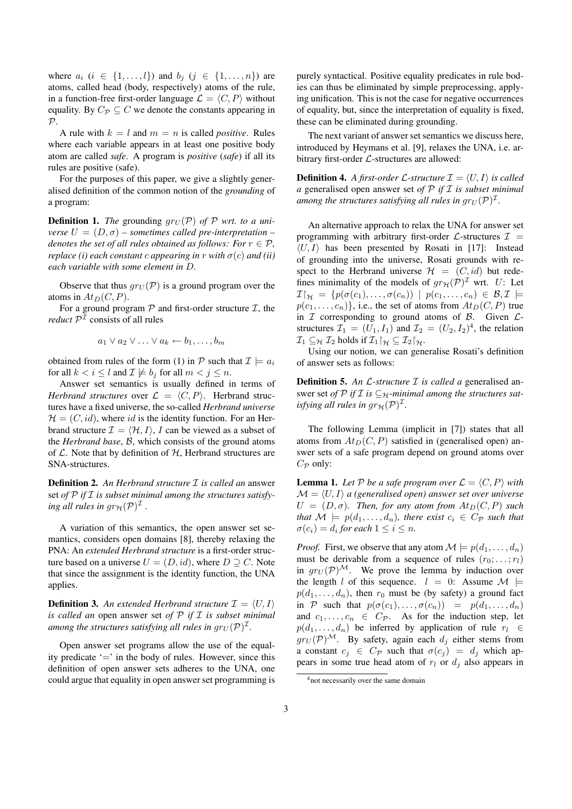where  $a_i$   $(i \in \{1, ..., l\})$  and  $b_j$   $(j \in \{1, ..., n\})$  are atoms, called head (body, respectively) atoms of the rule, in a function-free first-order language  $\mathcal{L} = \langle C, P \rangle$  without equality. By  $C_{\mathcal{P}} \subseteq C$  we denote the constants appearing in  $P$ .

A rule with  $k = l$  and  $m = n$  is called *positive*. Rules where each variable appears in at least one positive body atom are called *safe*. A program is *positive* (*safe*) if all its rules are positive (safe).

For the purposes of this paper, we give a slightly generalised definition of the common notion of the *grounding* of a program:

**Definition 1.** The grounding  $gr_U(\mathcal{P})$  of  $\mathcal{P}$  wrt. to a uni*verse*  $U = (D, \sigma)$  – *sometimes called pre-interpretation* – *denotes the set of all rules obtained as follows: For*  $r \in \mathcal{P}$ *, replace (i) each constant c appearing in* r *with*  $\sigma(c)$  *and (ii) each variable with some element in* D*.*

Observe that thus  $gr_U(\mathcal{P})$  is a ground program over the atoms in  $At_D(C, P)$ .

For a ground program  $P$  and first-order structure  $I$ , the *reduct*  $P<sup>T</sup>$  consists of all rules

$$
a_1 \vee a_2 \vee \ldots \vee a_k \leftarrow b_1, \ldots, b_m
$$

obtained from rules of the form (1) in P such that  $\mathcal{I} \models a_i$ for all  $k < i \leq l$  and  $\mathcal{I} \not\models b_j$  for all  $m < j \leq n$ .

Answer set semantics is usually defined in terms of *Herbrand structures* over  $\mathcal{L} = \langle C, P \rangle$ . Herbrand structures have a fixed universe, the so-called *Herbrand universe*  $\mathcal{H} = (C, id)$ , where id is the identity function. For an Herbrand structure  $\mathcal{I} = \langle \mathcal{H}, I \rangle$ , I can be viewed as a subset of the *Herbrand base*, B, which consists of the ground atoms of  $\mathcal L$ . Note that by definition of  $\mathcal H$ , Herbrand structures are SNA-structures.

Definition 2. *An Herbrand structure* I *is called an* answer set of  $P$  if  $I$  is subset minimal among the structures satisfying all rules in  $gr_{\mathcal{H}}(\mathcal{P})^{\mathcal{I}}$  .

A variation of this semantics, the open answer set semantics, considers open domains [8], thereby relaxing the PNA: An *extended Herbrand structure* is a first-order structure based on a universe  $U = (D, id)$ , where  $D \supseteq C$ . Note that since the assignment is the identity function, the UNA applies.

**Definition 3.** An extended Herbrand structure  $\mathcal{I} = \langle U, I \rangle$ *is called an* open answer set *of* P *if* I *is subset minimal* among the structures satisfying all rules in  $gr_U({\cal P})^{\cal I}.$ 

Open answer set programs allow the use of the equality predicate  $\prime = \prime$  in the body of rules. However, since this definition of open answer sets adheres to the UNA, one could argue that equality in open answer set programming is purely syntactical. Positive equality predicates in rule bodies can thus be eliminated by simple preprocessing, applying unification. This is not the case for negative occurrences of equality, but, since the interpretation of equality is fixed, these can be eliminated during grounding.

The next variant of answer set semantics we discuss here, introduced by Heymans et al. [9], relaxes the UNA, i.e. arbitrary first-order  $\mathcal{L}$ -structures are allowed:

**Definition 4.** A first-order L-structure  $\mathcal{I} = \langle U, I \rangle$  is called *a* generalised open answer set *of* P *if* I *is subset minimal* among the structures satisfying all rules in  $gr_U(\mathcal{P})^{\mathcal{I}}$ .

An alternative approach to relax the UNA for answer set programming with arbitrary first-order  $\mathcal{L}$ -structures  $\mathcal{I}$  =  $\langle U, I \rangle$  has been presented by Rosati in [17]: Instead of grounding into the universe, Rosati grounds with respect to the Herbrand universe  $\mathcal{H} = (C, id)$  but redefines minimality of the models of  $gr_H(\mathcal{P})^{\mathcal{I}}$  wrt. U: Let  $\mathcal{I}\upharpoonright_{\mathcal{H}} = \{p(\sigma(c_1),\ldots,\sigma(c_n)) \mid p(c_1,\ldots,c_n) \in \mathcal{B}, \mathcal{I}\models$  $p(c_1, \ldots, c_n)$ , i.e., the set of atoms from  $At_D(C, P)$  true in  $I$  corresponding to ground atoms of  $B$ . Given  $L$ structures  $\mathcal{I}_1 = (U_1, I_1)$  and  $\mathcal{I}_2 = (U_2, I_2)^4$ , the relation  $\mathcal{I}_1 \subseteq_{\mathcal{H}} \mathcal{I}_2$  holds if  $\mathcal{I}_1\upharpoonright_{\mathcal{H}} \subseteq \mathcal{I}_2\upharpoonright_{\mathcal{H}}$ .

Using our notion, we can generalise Rosati's definition of answer sets as follows:

Definition 5. *An* L*-structure* I *is called a* generalised answer set *of*  $\mathcal{P}$  *if*  $\mathcal{I}$  *is*  $\subseteq_{\mathcal{H}}$ *-minimal among the structures satisfying all rules in*  $gr_{\mathcal{H}}(\mathcal{P})^{\mathcal{I}}$ *.* 

The following Lemma (implicit in [7]) states that all atoms from  $At_D(C, P)$  satisfied in (generalised open) answer sets of a safe program depend on ground atoms over  $C_{\mathcal{P}}$  only:

**Lemma 1.** Let P be a safe program over  $\mathcal{L} = \langle C, P \rangle$  with  $\mathcal{M} = \langle U, I \rangle$  *a* (generalised open) answer set over universe  $U = (D, \sigma)$ *. Then, for any atom from*  $At_D(C, P)$  *such that*  $M \models p(d_1, \ldots, d_n)$ *, there exist*  $c_i \in C_{\mathcal{P}}$  *such that*  $\sigma(c_i) = d_i$  for each  $1 \leq i \leq n$ .

*Proof.* First, we observe that any atom  $\mathcal{M} \models p(d_1, \ldots, d_n)$ must be derivable from a sequence of rules  $(r_0; \ldots; r_l)$ in  $gr_U(\mathcal{P})^{\mathcal{M}}$ . We prove the lemma by induction over the length l of this sequence.  $l = 0$ : Assume  $\mathcal{M} \models$  $p(d_1, \ldots, d_n)$ , then  $r_0$  must be (by safety) a ground fact in P such that  $p(\sigma(c_1), \ldots, \sigma(c_n)) = p(d_1, \ldots, d_n)$ and  $c_1, \ldots, c_n \in C_{\mathcal{P}}$ . As for the induction step, let  $p(d_1, \ldots, d_n)$  be inferred by application of rule  $r_l \in$  $gr_U(\mathcal{P})^{\mathcal{M}}$ . By safety, again each  $d_i$  either stems from a constant  $c_j \in C_{\mathcal{P}}$  such that  $\sigma(c_j) = d_j$  which appears in some true head atom of  $r_l$  or  $d_j$  also appears in

<sup>4</sup>not necessarily over the same domain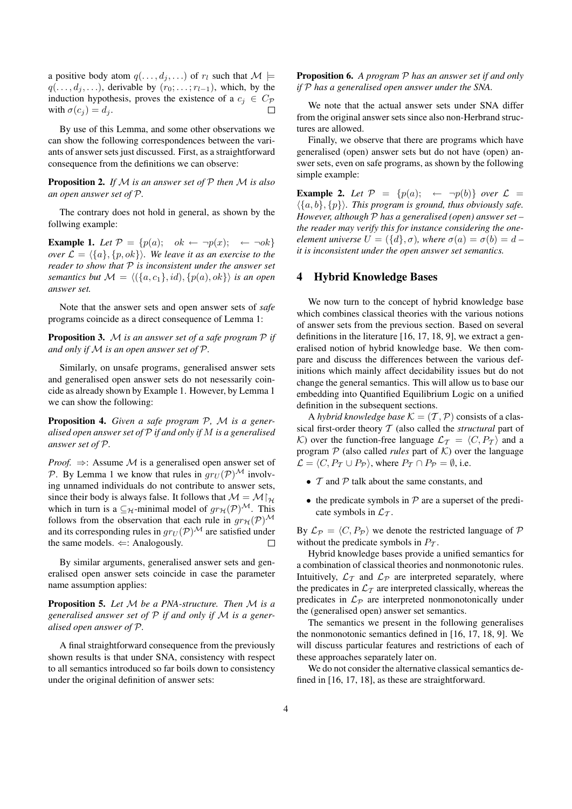a positive body atom  $q(\ldots, d_j, \ldots)$  of  $r_l$  such that  $\mathcal{M} \models$  $q(\ldots, d_j, \ldots)$ , derivable by  $(r_0; \ldots; r_{l-1})$ , which, by the induction hypothesis, proves the existence of a  $c_j \in C_{\mathcal{P}}$ with  $\sigma(c_i) = d_i$ .  $\Box$ 

By use of this Lemma, and some other observations we can show the following correspondences between the variants of answer sets just discussed. First, as a straightforward consequence from the definitions we can observe:

Proposition 2. *If* M *is an answer set of* P *then* M *is also an open answer set of* P*.*

The contrary does not hold in general, as shown by the follwing example:

**Example 1.** Let  $P = \{p(a); \text{ok } \leftarrow \neg p(x); \leftarrow \neg \circ k\}$ *over*  $\mathcal{L} = \{\{a\}, \{p, ok\}\}\$ *. We leave it as an exercise to the reader to show that* P *is inconsistent under the answer set semantics but*  $M = \langle (\{a, c_1\}, id), \{p(a), ok\}\rangle$  *is an open answer set.*

Note that the answer sets and open answer sets of *safe* programs coincide as a direct consequence of Lemma 1:

Proposition 3. M *is an answer set of a safe program* P *if and only if* M *is an open answer set of* P*.*

Similarly, on unsafe programs, generalised answer sets and generalised open answer sets do not nesessarily coincide as already shown by Example 1. However, by Lemma 1 we can show the following:

Proposition 4. *Given a safe program* P*,* M *is a generalised open answer set of* P *if and only if* M *is a generalised answer set of* P*.*

*Proof.*  $\Rightarrow$ : Assume M is a generalised open answer set of P. By Lemma 1 we know that rules in  $gr_U(\mathcal{P})^{\mathcal{M}}$  involving unnamed individuals do not contribute to answer sets, since their body is always false. It follows that  $M = M|_{\mathcal{H}}$ which in turn is a  $\subseteq_{\mathcal{H}}$ -minimal model of  $gr_{\mathcal{H}}(\mathcal{P})^{\mathcal{M}}$ . This follows from the observation that each rule in  $gr_H(\mathcal{P})^{\mathcal{M}}$ and its corresponding rules in  $qr_U(\mathcal{P})^{\mathcal{M}}$  are satisfied under the same models.  $\Leftarrow$ : Analogously.  $\Box$ 

By similar arguments, generalised answer sets and generalised open answer sets coincide in case the parameter name assumption applies:

Proposition 5. *Let* M *be a PNA-structure. Then* M *is a generalised answer set of* P *if and only if* M *is a generalised open answer of* P*.*

A final straightforward consequence from the previously shown results is that under SNA, consistency with respect to all semantics introduced so far boils down to consistency under the original definition of answer sets:

Proposition 6. *A program* P *has an answer set if and only if* P *has a generalised open answer under the SNA.*

We note that the actual answer sets under SNA differ from the original answer sets since also non-Herbrand structures are allowed.

Finally, we observe that there are programs which have generalised (open) answer sets but do not have (open) answer sets, even on safe programs, as shown by the following simple example:

**Example 2.** Let  $P = \{p(a); \leftarrow \neg p(b)\}$  over  $\mathcal{L} =$  $\langle \{a, b\}, \{p\} \rangle$ . This program is ground, thus obviously safe. *However, although* P *has a generalised (open) answer set – the reader may verify this for instance considering the oneelement universe*  $U = (\{d\}, \sigma)$ *, where*  $\sigma(a) = \sigma(b) = d$ *it is inconsistent under the open answer set semantics.*

#### 4 Hybrid Knowledge Bases

We now turn to the concept of hybrid knowledge base which combines classical theories with the various notions of answer sets from the previous section. Based on several definitions in the literature [16, 17, 18, 9], we extract a generalised notion of hybrid knowledge base. We then compare and discuss the differences between the various definitions which mainly affect decidability issues but do not change the general semantics. This will allow us to base our embedding into Quantified Equilibrium Logic on a unified definition in the subsequent sections.

A *hybrid knowledge base*  $K = (T, P)$  consists of a classical first-order theory T (also called the *structural* part of K) over the function-free language  $\mathcal{L}_{\mathcal{T}} = \langle C, P_{\mathcal{T}} \rangle$  and a program  $P$  (also called *rules* part of  $K$ ) over the language  $\mathcal{L} = \langle C, P_{\mathcal{T}} \cup P_{\mathcal{P}} \rangle$ , where  $P_{\mathcal{T}} \cap P_{\mathcal{P}} = \emptyset$ , i.e.

- $T$  and  $P$  talk about the same constants, and
- the predicate symbols in  $P$  are a superset of the predicate symbols in  $\mathcal{L}_{\mathcal{T}}$ .

By  $\mathcal{L}_{\mathcal{P}} = \langle C, P_{\mathcal{P}} \rangle$  we denote the restricted language of  $\mathcal{P}$ without the predicate symbols in  $P_{\tau}$ .

Hybrid knowledge bases provide a unified semantics for a combination of classical theories and nonmonotonic rules. Intuitively,  $\mathcal{L}_{\mathcal{T}}$  and  $\mathcal{L}_{\mathcal{P}}$  are interpreted separately, where the predicates in  $\mathcal{L}_{\mathcal{T}}$  are interpreted classically, whereas the predicates in  $\mathcal{L}_{\mathcal{P}}$  are interpreted nonmonotonically under the (generalised open) answer set semantics.

The semantics we present in the following generalises the nonmonotonic semantics defined in [16, 17, 18, 9]. We will discuss particular features and restrictions of each of these approaches separately later on.

We do not consider the alternative classical semantics defined in [16, 17, 18], as these are straightforward.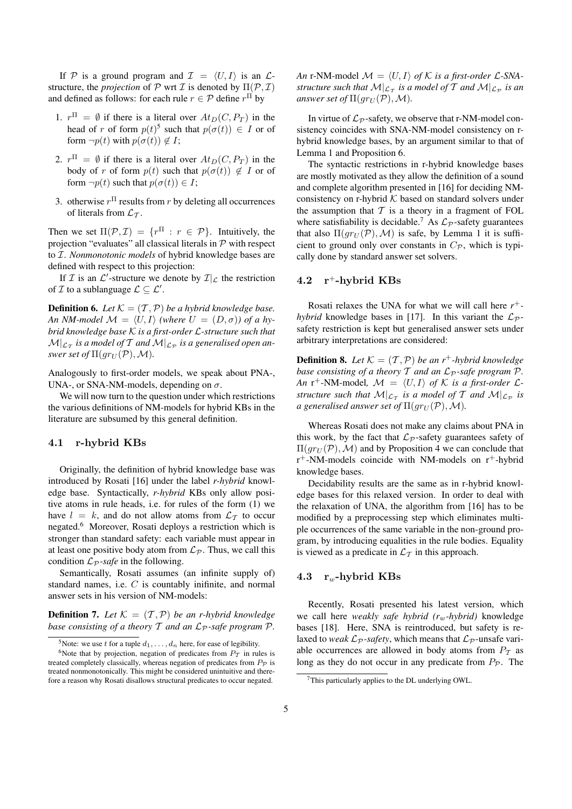If P is a ground program and  $\mathcal{I} = \langle U, I \rangle$  is an  $\mathcal{L}$ structure, the *projection* of  $P$  wrt  $I$  is denoted by  $\Pi(P, I)$ and defined as follows: for each rule  $r \in \mathcal{P}$  define  $r^{\Pi}$  by

- 1.  $r^{\Pi} = \emptyset$  if there is a literal over  $At_D(C, P_T)$  in the head of r of form  $p(t)^5$  such that  $p(\sigma(t)) \in I$  or of form  $\neg p(t)$  with  $p(\sigma(t)) \notin I$ ;
- 2.  $r^{\Pi} = \emptyset$  if there is a literal over  $At_D(C, P_T)$  in the body of r of form  $p(t)$  such that  $p(\sigma(t)) \notin I$  or of form  $\neg p(t)$  such that  $p(\sigma(t)) \in I$ ;
- 3. otherwise  $r^{\Pi}$  results from r by deleting all occurrences of literals from  $\mathcal{L}_{\tau}$ .

Then we set  $\Pi(\mathcal{P}, \mathcal{I}) = \{r^{\Pi} : r \in \mathcal{P}\}\$ . Intuitively, the projection "evaluates" all classical literals in  $P$  with respect to I. *Nonmonotonic models* of hybrid knowledge bases are defined with respect to this projection:

If  $\mathcal I$  is an  $\mathcal L'$ -structure we denote by  $\mathcal I|_{\mathcal L}$  the restriction of  $\mathcal I$  to a sublanguage  $\mathcal L \subseteq \mathcal L'.$ 

**Definition 6.** *Let*  $K = (T, P)$  *be a hybrid knowledge base. An NM-model*  $\mathcal{M} = \langle U, I \rangle$  *(where*  $U = (D, \sigma)$ *)* of a hy*brid knowledge base* K *is a first-order* L*-structure such that*  $\mathcal{M}|_{\mathcal{L}_\mathcal{T}}$  is a model of  $\mathcal{T}$  and  $\mathcal{M}|_{\mathcal{L}_\mathcal{P}}$  is a generalised open an*swer set of*  $\Pi(gr_U(\mathcal{P}), \mathcal{M})$ *.* 

Analogously to first-order models, we speak about PNA-, UNA-, or SNA-NM-models, depending on  $\sigma$ .

We will now turn to the question under which restrictions the various definitions of NM-models for hybrid KBs in the literature are subsumed by this general definition.

#### 4.1 r-hybrid KBs

Originally, the definition of hybrid knowledge base was introduced by Rosati [16] under the label *r-hybrid* knowledge base. Syntactically, *r-hybrid* KBs only allow positive atoms in rule heads, i.e. for rules of the form (1) we have  $l = k$ , and do not allow atoms from  $\mathcal{L}_{\mathcal{T}}$  to occur negated.<sup>6</sup> Moreover, Rosati deploys a restriction which is stronger than standard safety: each variable must appear in at least one positive body atom from  $\mathcal{L}_{\mathcal{P}}$ . Thus, we call this condition  $\mathcal{L}_{\mathcal{P}}$ *-safe* in the following.

Semantically, Rosati assumes (an infinite supply of) standard names, i.e. C is countably inifinite, and normal answer sets in his version of NM-models:

**Definition 7.** Let  $K = (T, P)$  be an r-hybrid knowledge *base consisting of a theory*  $T$  *and an*  $L_p$ *-safe program*  $P$ *.* 

*An* r-NM-model  $\mathcal{M} = \langle U, I \rangle$  *of*  $\mathcal K$  *is a first-order*  $\mathcal L$ -SNA*structure such that*  $\mathcal{M}|_{\mathcal{L}_\mathcal{T}}$  *is a model of*  $\mathcal{T}$  *and*  $\mathcal{M}|_{\mathcal{L}_\mathcal{P}}$  *is an answer set of*  $\Pi(gr_U(\mathcal{P}), \mathcal{M})$ *.* 

In virtue of  $\mathcal{L}_{\mathcal{P}}$ -safety, we observe that r-NM-model consistency coincides with SNA-NM-model consistency on rhybrid knowledge bases, by an argument similar to that of Lemma 1 and Proposition 6.

The syntactic restrictions in r-hybrid knowledge bases are mostly motivated as they allow the definition of a sound and complete algorithm presented in [16] for deciding NMconsistency on r-hybrid  $K$  based on standard solvers under the assumption that  $T$  is a theory in a fragment of FOL where satisfiability is decidable.<sup>7</sup> As  $\mathcal{L}_{\mathcal{P}}$ -safety guarantees that also  $\Pi(gr_U(\mathcal{P}), \mathcal{M})$  is safe, by Lemma 1 it is sufficient to ground only over constants in  $C_{\mathcal{P}}$ , which is typically done by standard answer set solvers.

### 4.2  $r^+$ -hybrid KBs

Rosati relaxes the UNA for what we will call here *r* + *hybrid* knowledge bases in [17]. In this variant the  $\mathcal{L}_{\mathcal{P}}$ safety restriction is kept but generalised answer sets under arbitrary interpretations are considered:

**Definition 8.** Let  $K = (T, P)$  be an r<sup>+</sup>-hybrid knowledge *base consisting of a theory*  $T$  *and an*  $L_p$ *-safe program*  $P$ *. An*  $r^+$ -NM-model,  $\mathcal{M} = \langle U, I \rangle$  *of*  $\mathcal K$  *is a first-order*  $\mathcal L$ *structure such that*  $\mathcal{M}|_{\mathcal{L}_\mathcal{T}}$  *is a model of*  $\mathcal{T}$  *and*  $\mathcal{M}|_{\mathcal{L}_\mathcal{P}}$  *is a generalised answer set of*  $\Pi(gr_U(\mathcal{P}),\mathcal{M})$ .

Whereas Rosati does not make any claims about PNA in this work, by the fact that  $\mathcal{L}_{\mathcal{P}}$ -safety guarantees safety of  $\Pi(gr_U(\mathcal{P}),\mathcal{M})$  and by Proposition 4 we can conclude that  $r^+$ -NM-models coincide with NM-models on  $r^+$ -hybrid knowledge bases.

Decidability results are the same as in r-hybrid knowledge bases for this relaxed version. In order to deal with the relaxation of UNA, the algorithm from [16] has to be modified by a preprocessing step which eliminates multiple occurrences of the same variable in the non-ground program, by introducing equalities in the rule bodies. Equality is viewed as a predicate in  $\mathcal{L}_{\mathcal{T}}$  in this approach.

#### 4.3  $r_w$ -hybrid KBs

Recently, Rosati presented his latest version, which we call here *weakly safe hybrid (r<sub>w</sub>-hybrid)* knowledge bases [18]. Here, SNA is reintroduced, but safety is relaxed to *weak*  $\mathcal{L}_P$ -safety, which means that  $\mathcal{L}_P$ -unsafe variable occurrences are allowed in body atoms from  $P_{\tau}$  as long as they do not occur in any predicate from  $P_{\mathcal{P}}$ . The

<sup>&</sup>lt;sup>5</sup>Note: we use t for a tuple  $d_1, \ldots, d_n$  here, for ease of legibility.

<sup>&</sup>lt;sup>6</sup>Note that by projection, negation of predicates from  $P<sub>T</sub>$  in rules is treated completely classically, whereas negation of predicates from  $P_{\mathcal{P}}$  is treated nonmonotonically. This might be considered unintuitive and therefore a reason why Rosati disallows structural predicates to occur negated.

 $7$ This particularly applies to the DL underlying OWL.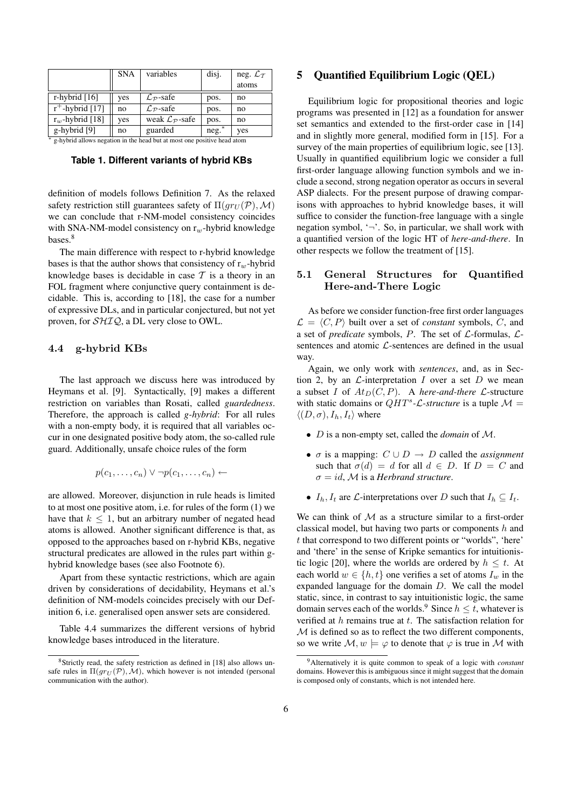|                                                                           | <b>SNA</b> | variables                              | disj.   | neg. $\mathcal{L}_{\mathcal{T}}$ |
|---------------------------------------------------------------------------|------------|----------------------------------------|---------|----------------------------------|
|                                                                           |            |                                        |         | atoms                            |
| r-hybrid $[16]$                                                           | yes        | $\mathcal{L}_{\mathcal{P}}$ -safe      | pos.    | no                               |
| $r^+$ -hybrid [17]                                                        | no         | $\mathcal{L}_{\mathcal{P}}$ -safe      | pos.    | no                               |
| $r_w$ -hybrid [18]                                                        | yes        | weak $\mathcal{L}_{\mathcal{P}}$ -safe | pos.    | no                               |
| g-hybrid [9]                                                              | no         | guarded                                | $neg.*$ | yes                              |
| * a hybrid allows negation in the head but at most one nositive head atom |            |                                        |         |                                  |

g-hybrid allows negation in the head but at most one positive head atom

**Table 1. Different variants of hybrid KBs**

definition of models follows Definition 7. As the relaxed safety restriction still guarantees safety of  $\Pi(qr_U(\mathcal{P}),\mathcal{M})$ we can conclude that r-NM-model consistency coincides with SNA-NM-model consistency on  $r_w$ -hybrid knowledge bases.<sup>8</sup>

The main difference with respect to r-hybrid knowledge bases is that the author shows that consistency of  $r_w$ -hybrid knowledge bases is decidable in case  $\mathcal T$  is a theory in an FOL fragment where conjunctive query containment is decidable. This is, according to [18], the case for a number of expressive DLs, and in particular conjectured, but not yet proven, for SHIQ, a DL very close to OWL.

#### 4.4 g-hybrid KBs

The last approach we discuss here was introduced by Heymans et al. [9]. Syntactically, [9] makes a different restriction on variables than Rosati, called *guardedness*. Therefore, the approach is called *g-hybrid*: For all rules with a non-empty body, it is required that all variables occur in one designated positive body atom, the so-called rule guard. Additionally, unsafe choice rules of the form

$$
p(c_1,\ldots,c_n)\vee\neg p(c_1,\ldots,c_n)\leftarrow
$$

are allowed. Moreover, disjunction in rule heads is limited to at most one positive atom, i.e. for rules of the form (1) we have that  $k \leq 1$ , but an arbitrary number of negated head atoms is allowed. Another significant difference is that, as opposed to the approaches based on r-hybrid KBs, negative structural predicates are allowed in the rules part within ghybrid knowledge bases (see also Footnote 6).

Apart from these syntactic restrictions, which are again driven by considerations of decidability, Heymans et al.'s definition of NM-models coincides precisely with our Definition 6, i.e. generalised open answer sets are considered.

Table 4.4 summarizes the different versions of hybrid knowledge bases introduced in the literature.

# 5 Quantified Equilibrium Logic (QEL)

Equilibrium logic for propositional theories and logic programs was presented in [12] as a foundation for answer set semantics and extended to the first-order case in [14] and in slightly more general, modified form in [15]. For a survey of the main properties of equilibrium logic, see [13]. Usually in quantified equilibrium logic we consider a full first-order language allowing function symbols and we include a second, strong negation operator as occurs in several ASP dialects. For the present purpose of drawing comparisons with approaches to hybrid knowledge bases, it will suffice to consider the function-free language with a single negation symbol,  $\rightarrow$ . So, in particular, we shall work with a quantified version of the logic HT of *here-and-there*. In other respects we follow the treatment of [15].

# 5.1 General Structures for Quantified Here-and-There Logic

As before we consider function-free first order languages  $\mathcal{L} = \langle C, P \rangle$  built over a set of *constant* symbols, C, and a set of *predicate* symbols, P. The set of  $\mathcal{L}$ -formulas,  $\mathcal{L}$ sentences and atomic  $\mathcal{L}$ -sentences are defined in the usual way.

Again, we only work with *sentences*, and, as in Section 2, by an  $\mathcal{L}$ -interpretation  $I$  over a set  $D$  we mean a subset I of  $At_D(C, P)$ . A *here-and-there L*-structure with static domains or  $QHT^s$ -*L*-structure is a tuple  $\mathcal{M} =$  $\langle (D, \sigma), I_h, I_t \rangle$  where

- D is a non-empty set, called the *domain* of M.
- $\sigma$  is a mapping:  $C \cup D \rightarrow D$  called the *assignment* such that  $\sigma(d) = d$  for all  $d \in D$ . If  $D = C$  and  $\sigma = id$ , *M* is a *Herbrand structure*.
- $I_h$ ,  $I_t$  are  $\mathcal L$ -interpretations over D such that  $I_h \subseteq I_t$ .

We can think of  $M$  as a structure similar to a first-order classical model, but having two parts or components  $h$  and t that correspond to two different points or "worlds", 'here' and 'there' in the sense of Kripke semantics for intuitionistic logic [20], where the worlds are ordered by  $h \leq t$ . At each world  $w \in \{h, t\}$  one verifies a set of atoms  $I_w$  in the expanded language for the domain D. We call the model static, since, in contrast to say intuitionistic logic, the same domain serves each of the worlds.<sup>9</sup> Since  $h \leq t$ , whatever is verified at  $h$  remains true at  $t$ . The satisfaction relation for M is defined so as to reflect the two different components, so we write  $M, w \models \varphi$  to denote that  $\varphi$  is true in M with

<sup>8</sup>Strictly read, the safety restriction as defined in [18] also allows unsafe rules in  $\Pi(qr_U(\mathcal{P}),\mathcal{M})$ , which however is not intended (personal communication with the author).

<sup>9</sup>Alternatively it is quite common to speak of a logic with *constant* domains. However this is ambiguous since it might suggest that the domain is composed only of constants, which is not intended here.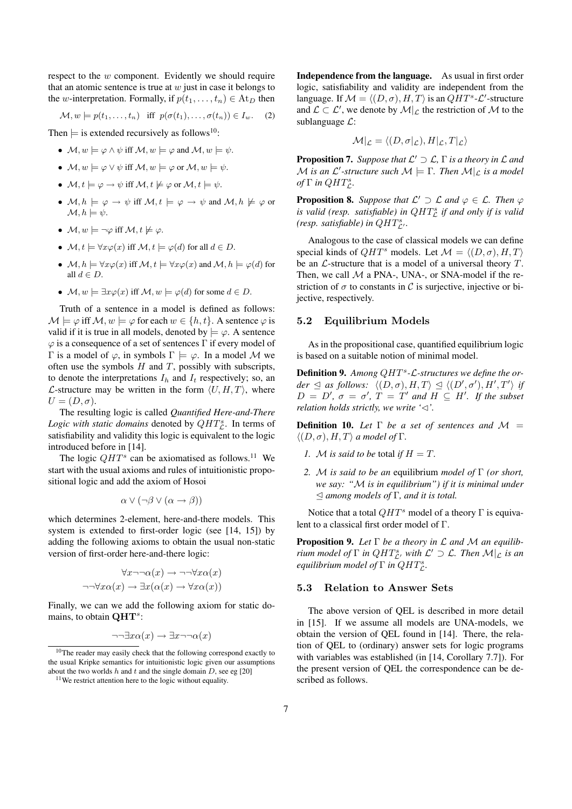respect to the w component. Evidently we should require that an atomic sentence is true at  $w$  just in case it belongs to the w-interpretation. Formally, if  $p(t_1, \ldots, t_n) \in At_D$  then

$$
\mathcal{M}, w \models p(t_1, \ldots, t_n) \quad \text{iff} \quad p(\sigma(t_1), \ldots, \sigma(t_n)) \in I_w. \tag{2}
$$

Then  $\models$  is extended recursively as follows<sup>10</sup>:

- $M, w \models \varphi \land \psi$  iff  $\mathcal{M}, w \models \varphi$  and  $\mathcal{M}, w \models \psi$ .
- $M, w \models \varphi \lor \psi$  iff  $\mathcal{M}, w \models \varphi$  or  $\mathcal{M}, w \models \psi$ .
- $\mathcal{M}, t \models \varphi \rightarrow \psi$  iff  $\mathcal{M}, t \not\models \varphi$  or  $\mathcal{M}, t \models \psi$ .
- $M, h \models \varphi \rightarrow \psi$  iff  $M, t \models \varphi \rightarrow \psi$  and  $M, h \not\models \varphi$  or  $\mathcal{M}, h \models \psi.$
- $M, w \models \neg \varphi$  iff  $\mathcal{M}, t \not\models \varphi$ .
- $\mathcal{M}, t \models \forall x \varphi(x)$  iff  $\mathcal{M}, t \models \varphi(d)$  for all  $d \in D$ .
- $\mathcal{M}, h \models \forall x \varphi(x)$  iff  $\mathcal{M}, t \models \forall x \varphi(x)$  and  $\mathcal{M}, h \models \varphi(d)$  for all  $d \in D$ .
- $\mathcal{M}, w \models \exists x \varphi(x)$  iff  $\mathcal{M}, w \models \varphi(d)$  for some  $d \in D$ .

Truth of a sentence in a model is defined as follows:  $\mathcal{M} \models \varphi$  iff  $\mathcal{M}, w \models \varphi$  for each  $w \in \{h, t\}$ . A sentence  $\varphi$  is valid if it is true in all models, denoted by  $\models \varphi$ . A sentence  $\varphi$  is a consequence of a set of sentences Γ if every model of Γ is a model of  $\varphi$ , in symbols  $\Gamma \models \varphi$ . In a model M we often use the symbols  $H$  and  $T$ , possibly with subscripts, to denote the interpretations  $I_h$  and  $I_t$  respectively; so, an L-structure may be written in the form  $\langle U, H, T \rangle$ , where  $U = (D, \sigma).$ 

The resulting logic is called *Quantified Here-and-There* Logic with static domains denoted by  $QHT_{\mathcal{L}}^s$ . In terms of satisfiability and validity this logic is equivalent to the logic introduced before in [14].

The logic  $QHT^s$  can be axiomatised as follows.<sup>11</sup> We start with the usual axioms and rules of intuitionistic propositional logic and add the axiom of Hosoi

$$
\alpha \vee (\neg \beta \vee (\alpha \rightarrow \beta))
$$

which determines 2-element, here-and-there models. This system is extended to first-order logic (see [14, 15]) by adding the following axioms to obtain the usual non-static version of first-order here-and-there logic:

$$
\forall x \neg \neg \alpha(x) \rightarrow \neg \neg \forall x \alpha(x)
$$
  

$$
\neg \neg \forall x \alpha(x) \rightarrow \exists x (\alpha(x) \rightarrow \forall x \alpha(x))
$$

Finally, we can we add the following axiom for static domains, to obtain  $QHT^s$ :

$$
\neg\neg \exists x \alpha(x) \to \exists x \neg \neg \alpha(x)
$$

Independence from the language. As usual in first order logic, satisfiability and validity are independent from the language. If  $\mathcal{M} = \langle (D, \sigma), H, T \rangle$  is an  $QHT^s \text{-} \mathcal{L}'$ -structure and  $\mathcal{L} \subset \mathcal{L}'$ , we denote by  $\mathcal{M}|_{\mathcal{L}}$  the restriction of  $\mathcal{M}$  to the sublanguage  $\mathcal{L}$ :

$$
\mathcal{M}|_{\mathcal{L}} = \langle (D, \sigma|_{\mathcal{L}}), H|_{\mathcal{L}}, T|_{\mathcal{L}} \rangle
$$

**Proposition 7.** Suppose that  $\mathcal{L}' \supset \mathcal{L}$ ,  $\Gamma$  *is a theory in*  $\mathcal{L}$  *and*  $\mathcal M$  *is an*  $\mathcal L'$ *-structure such*  $\mathcal M \models \Gamma$ *. Then*  $\mathcal M|_{\mathcal L}$  *is a model*  $of \Gamma$  *in*  $QHT_{\mathcal{L}}^{s}$ .

**Proposition 8.** Suppose that  $\mathcal{L}' \supset \mathcal{L}$  and  $\varphi \in \mathcal{L}$ . Then  $\varphi$ *is valid (resp. satisfiable) in QHT*<sup>*g</sup></sup> <i>if and only if is valid*</sup> *(resp. satisfiable) in*  $QHT_{\mathcal{L}'}^s$ *.* 

Analogous to the case of classical models we can define special kinds of  $QHT^s$  models. Let  $\mathcal{M} = \langle (D, \sigma), H, T \rangle$ be an  $\mathcal L$ -structure that is a model of a universal theory  $T$ . Then, we call  $M$  a PNA-, UNA-, or SNA-model if the restriction of  $\sigma$  to constants in C is surjective, injective or bijective, respectively.

### 5.2 Equilibrium Models

As in the propositional case, quantified equilibrium logic is based on a suitable notion of minimal model.

Definition 9. Among QHT<sup>s</sup>-*L*-structures we define the or $der \trianglelefteq as follows: \langle (D, \sigma), H, T \rangle \trianglelefteq \langle (D', \sigma'), H', T' \rangle$  *if*  $D = D'$ ,  $\sigma = \sigma'$ ,  $T = T'$  and  $H \subseteq H'$ . If the subset *relation holds strictly, we write '* $\lhd$ *'.* 

**Definition 10.** Let  $\Gamma$  be a set of sentences and  $\mathcal{M} =$  $\langle (D, \sigma), H, T \rangle$  *a model of* Γ*.* 

- *1. M is said to be total if*  $H = T$ *.*
- *2.* M *is said to be an* equilibrium *model of* Γ *(or short, we say: "*M *is in equilibrium") if it is minimal under* E *among models of* Γ*, and it is total.*

Notice that a total  $QHT^s$  model of a theory  $\Gamma$  is equivalent to a classical first order model of Γ.

Proposition 9. *Let* Γ *be a theory in* L *and* M *an equilibrium model of*  $\Gamma$  *in QHT*<sup>*s*</sup>, *with*  $\mathcal{L}' \supset \mathcal{L}$ *. Then*  $\mathcal{M}|_{\mathcal{L}}$  *is an equilibrium model of*  $\Gamma$  *in QHT*<sub> $c$ </sub>.

#### 5.3 Relation to Answer Sets

The above version of QEL is described in more detail in [15]. If we assume all models are UNA-models, we obtain the version of QEL found in [14]. There, the relation of QEL to (ordinary) answer sets for logic programs with variables was established (in [14, Corollary 7.7]). For the present version of QEL the correspondence can be described as follows.

<sup>10</sup>The reader may easily check that the following correspond exactly to the usual Kripke semantics for intuitionistic logic given our assumptions about the two worlds h and t and the single domain  $D$ , see eg [20]

<sup>&</sup>lt;sup>11</sup>We restrict attention here to the logic without equality.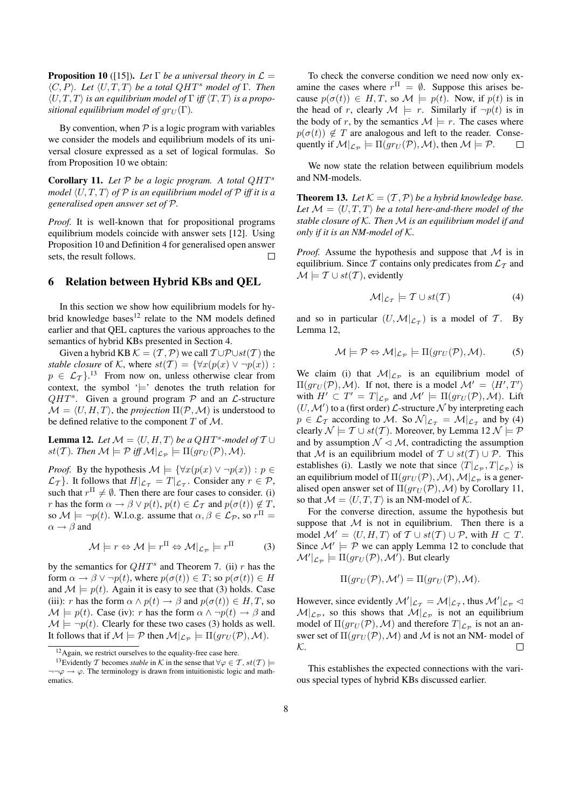**Proposition 10** ([15]). Let  $\Gamma$  be a universal theory in  $\mathcal{L} =$  $\langle C, P \rangle$ *. Let*  $\langle U, T, T \rangle$  *be a total QHT<sup>s</sup> model of* Γ*. Then*  $\langle U, T, T \rangle$  *is an equilibrium model of*  $\Gamma$  *iff*  $\langle T, T \rangle$  *is a propositional equilibrium model of*  $gr_U(\Gamma)$ *.* 

By convention, when  $P$  is a logic program with variables we consider the models and equilibrium models of its universal closure expressed as a set of logical formulas. So from Proposition 10 we obtain:

Corollary 11. *Let* P *be a logic program. A total* QHT<sup>s</sup> *model*  $\langle U, T, T \rangle$  *of*  $\mathcal P$  *is an equilibrium model of*  $\mathcal P$  *iff it is a generalised open answer set of* P*.*

*Proof.* It is well-known that for propositional programs equilibrium models coincide with answer sets [12]. Using Proposition 10 and Definition 4 for generalised open answer sets, the result follows.  $\Box$ 

#### 6 Relation between Hybrid KBs and QEL

In this section we show how equilibrium models for hybrid knowledge bases<sup>12</sup> relate to the NM models defined earlier and that QEL captures the various approaches to the semantics of hybrid KBs presented in Section 4.

Given a hybrid KB  $\mathcal{K} = (\mathcal{T}, \mathcal{P})$  we call  $\mathcal{T} \cup \mathcal{P} \cup st(\mathcal{T})$  the *stable closure* of K, where  $st(\mathcal{T}) = \{ \forall x(p(x) \lor \neg p(x))$ :  $p \in \mathcal{L}_{\mathcal{T}}$ .<sup>13</sup> From now on, unless otherwise clear from context, the symbol  $\equiv$  denotes the truth relation for  $QHT^s$ . Given a ground program  $P$  and an  $\mathcal{L}$ -structure  $\mathcal{M} = \langle U, H, T \rangle$ , the *projection*  $\Pi(\mathcal{P}, \mathcal{M})$  is understood to be defined relative to the component  $T$  of  $M$ .

**Lemma 12.** Let  $\mathcal{M} = \langle U, H, T \rangle$  be a QHT<sup>s</sup>-model of  $T \cup$  $st(\mathcal{T})$ *. Then*  $\mathcal{M} \models \mathcal{P}$  iff  $\mathcal{M}|_{\mathcal{L}_{\mathcal{P}}} \models \Pi(gr_U(\mathcal{P}), \mathcal{M})$ *.* 

*Proof.* By the hypothesis  $\mathcal{M} \models {\forall x (p(x) \lor \neg p(x)) : p \in \mathcal{A}}$  $\mathcal{L}_{\mathcal{T}}$ }. It follows that  $H|_{\mathcal{L}_{\mathcal{T}}} = T|_{\mathcal{L}_{\mathcal{T}}}$ . Consider any  $r \in \mathcal{P}$ , such that  $r^{\Pi} \neq \emptyset$ . Then there are four cases to consider. (i) r has the form  $\alpha \to \beta \vee p(t)$ ,  $p(t) \in \mathcal{L}_{\mathcal{T}}$  and  $p(\sigma(t)) \notin \mathcal{T}$ , so  $\mathcal{M} \models \neg p(t)$ . W.l.o.g. assume that  $\alpha, \beta \in \mathcal{L}_{\mathcal{P}}$ , so  $r^{\Pi}$  =  $\alpha \rightarrow \beta$  and

$$
\mathcal{M} \models r \Leftrightarrow \mathcal{M} \models r^{\Pi} \Leftrightarrow \mathcal{M}|_{\mathcal{L}_P} \models r^{\Pi} \tag{3}
$$

by the semantics for  $QHT^s$  and Theorem 7. (ii) r has the form  $\alpha \to \beta \vee \neg p(t)$ , where  $p(\sigma(t)) \in T$ ; so  $p(\sigma(t)) \in H$ and  $\mathcal{M} \models p(t)$ . Again it is easy to see that (3) holds. Case (iii): r has the form  $\alpha \wedge p(t) \rightarrow \beta$  and  $p(\sigma(t)) \in H, T$ , so  $\mathcal{M} \models p(t)$ . Case (iv): r has the form  $\alpha \wedge \neg p(t) \rightarrow \beta$  and  $\mathcal{M} \models \neg p(t)$ . Clearly for these two cases (3) holds as well. It follows that if  $\mathcal{M} \models \mathcal{P}$  then  $\mathcal{M}|_{\mathcal{L}_{\mathcal{P}}} \models \Pi(gr_U(\mathcal{P}),\mathcal{M}).$ 

To check the converse condition we need now only examine the cases where  $r^{\Pi} = \emptyset$ . Suppose this arises because  $p(\sigma(t)) \in H, T$ , so  $\mathcal{M} \models p(t)$ . Now, if  $p(t)$  is in the head of r, clearly  $\mathcal{M} \models r$ . Similarly if  $\neg p(t)$  is in the body of r, by the semantics  $\mathcal{M} \models r$ . The cases where  $p(\sigma(t)) \notin T$  are analogous and left to the reader. Consequently if  $\mathcal{M}|_{\mathcal{L}_{\mathcal{P}}} \models \Pi(gr_U(\mathcal{P}), \mathcal{M})$ , then  $\mathcal{M} \models \mathcal{P}$ .  $\Box$ 

We now state the relation between equilibrium models and NM-models.

**Theorem 13.** Let  $K = (T, P)$  be a hybrid knowledge base. Let  $M = \langle U, T, T \rangle$  *be a total here-and-there model of the stable closure of* K*. Then* M *is an equilibrium model if and only if it is an NM-model of* K*.*

*Proof.* Assume the hypothesis and suppose that M is in equilibrium. Since T contains only predicates from  $\mathcal{L}_{\mathcal{T}}$  and  $\mathcal{M} \models \mathcal{T} \cup st(\mathcal{T})$ , evidently

$$
\mathcal{M}|_{\mathcal{L}_T} \models \mathcal{T} \cup st(\mathcal{T}) \tag{4}
$$

and so in particular  $(U, \mathcal{M}|_{\mathcal{L}_\mathcal{T}})$  is a model of T. By Lemma 12,

$$
\mathcal{M} \models \mathcal{P} \Leftrightarrow \mathcal{M}|_{\mathcal{L}_{\mathcal{P}}} \models \Pi(gr_U(\mathcal{P}), \mathcal{M}).
$$
 (5)

We claim (i) that  $\mathcal{M}|_{\mathcal{L}_{\mathcal{P}}}$  is an equilibrium model of  $\Pi(gr_U(\mathcal{P}), \mathcal{M})$ . If not, there is a model  $\mathcal{M}' = \langle H', T' \rangle$ with  $H' \subset T' = T|_{\mathcal{L}_{\mathcal{P}}}$  and  $\mathcal{M}' \models \Pi(gr_U(\mathcal{P}), \mathcal{M})$ . Lift  $(U, \mathcal{M}')$  to a (first order)  $\mathcal{L}$ -structure  $\mathcal N$  by interpreting each  $p \in \mathcal{L}_{\mathcal{T}}$  according to M. So  $\mathcal{N}|_{\mathcal{L}_{\mathcal{T}}} = \mathcal{M}|_{\mathcal{L}_{\mathcal{T}}}$  and by (4) clearly  $\mathcal{N} \models \mathcal{T} \cup st(\mathcal{T})$ . Moreover, by Lemma 12  $\mathcal{N} \models \mathcal{P}$ and by assumption  $\mathcal{N} \lhd \mathcal{M}$ , contradicting the assumption that M is an equilibrium model of  $T \cup st(T) \cup \mathcal{P}$ . This establishes (i). Lastly we note that since  $\langle T|_{\mathcal{L}_{\mathcal{P}}}, T|_{\mathcal{L}_{\mathcal{P}}} \rangle$  is an equilibrium model of  $\Pi(gr_U(\mathcal{P}), \mathcal{M})$ ,  $\mathcal{M}|_{\mathcal{L}_{\mathcal{P}}}$  is a generalised open answer set of  $\Pi(gr_U(\mathcal{P}), \mathcal{M})$  by Corollary 11, so that  $M = \langle U, T, T \rangle$  is an NM-model of K.

For the converse direction, assume the hypothesis but suppose that  $M$  is not in equilibrium. Then there is a model  $\mathcal{M}' = \langle U, H, T \rangle$  of  $T \cup st(T) \cup \mathcal{P}$ , with  $H \subset T$ . Since  $\mathcal{M}' \models \mathcal{P}$  we can apply Lemma 12 to conclude that  $\mathcal{M}'|_{\mathcal{L}_{\mathcal{P}}} \models \Pi(gr_U(\mathcal{P}), \mathcal{M}')$ . But clearly

$$
\Pi(gr_U(\mathcal{P}), \mathcal{M}') = \Pi(gr_U(\mathcal{P}), \mathcal{M}).
$$

However, since evidently  $\mathcal{M}'|_{\mathcal{L}_T} = \mathcal{M}|_{\mathcal{L}_T}$ , thus  $\mathcal{M}'|_{\mathcal{L}_P} \triangleleft$  $\mathcal{M}|_{\mathcal{L}_{\mathcal{P}}}$ , so this shows that  $\mathcal{M}|_{\mathcal{L}_{\mathcal{P}}}$  is not an equilibrium model of  $\Pi(gr_U(\mathcal{P}), \mathcal{M})$  and therefore  $T|_{\mathcal{L}_{\mathcal{P}}}$  is not an answer set of  $\Pi(gr_U(\mathcal{P}),\mathcal{M})$  and  $\mathcal M$  is not an NM- model of K.  $\Box$ 

This establishes the expected connections with the various special types of hybrid KBs discussed earlier.

<sup>12</sup>Again, we restrict ourselves to the equality-free case here.

<sup>&</sup>lt;sup>13</sup>Evidently T becomes *stable* in K in the sense that  $\forall \varphi \in T$ ,  $st(T) \models$  $\neg\neg\varphi \rightarrow \varphi$ . The terminology is drawn from intuitionistic logic and mathematics.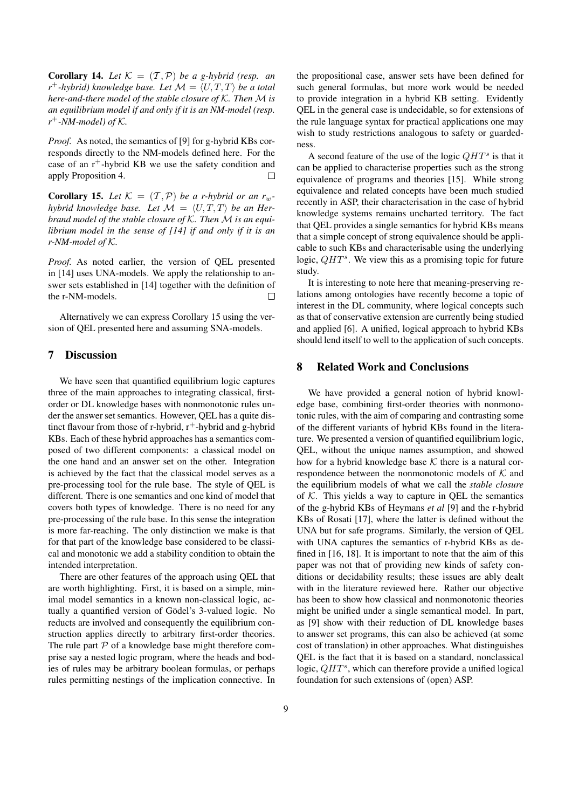**Corollary 14.** Let  $K = (T, P)$  be a g-hybrid (resp. an  $r^+$ -hybrid) knowledge base. Let  $\mathcal{M} = \langle U, T, T \rangle$  be a total *here-and-there model of the stable closure of* K*. Then* M *is an equilibrium model if and only if it is an NM-model (resp. r* <sup>+</sup>*-NM-model) of* K*.*

*Proof.* As noted, the semantics of [9] for g-hybrid KBs corresponds directly to the NM-models defined here. For the case of an  $r^+$ -hybrid KB we use the safety condition and apply Proposition 4.  $\Box$ 

**Corollary 15.** Let  $K = (T, P)$  be a r-hybrid or an  $r_w$ *hybrid knowledge base. Let*  $M = \langle U, T, T \rangle$  *be an Herbrand model of the stable closure of* K*. Then* M *is an equilibrium model in the sense of [14] if and only if it is an r-NM-model of* K*.*

*Proof.* As noted earlier, the version of QEL presented in [14] uses UNA-models. We apply the relationship to answer sets established in [14] together with the definition of the r-NM-models.  $\Box$ 

Alternatively we can express Corollary 15 using the version of QEL presented here and assuming SNA-models.

# 7 Discussion

We have seen that quantified equilibrium logic captures three of the main approaches to integrating classical, firstorder or DL knowledge bases with nonmonotonic rules under the answer set semantics. However, QEL has a quite distinct flavour from those of r-hybrid,  $r^+$ -hybrid and g-hybrid KBs. Each of these hybrid approaches has a semantics composed of two different components: a classical model on the one hand and an answer set on the other. Integration is achieved by the fact that the classical model serves as a pre-processing tool for the rule base. The style of QEL is different. There is one semantics and one kind of model that covers both types of knowledge. There is no need for any pre-processing of the rule base. In this sense the integration is more far-reaching. The only distinction we make is that for that part of the knowledge base considered to be classical and monotonic we add a stability condition to obtain the intended interpretation.

There are other features of the approach using QEL that are worth highlighting. First, it is based on a simple, minimal model semantics in a known non-classical logic, actually a quantified version of Gödel's 3-valued logic. No reducts are involved and consequently the equilibrium construction applies directly to arbitrary first-order theories. The rule part  $P$  of a knowledge base might therefore comprise say a nested logic program, where the heads and bodies of rules may be arbitrary boolean formulas, or perhaps rules permitting nestings of the implication connective. In the propositional case, answer sets have been defined for such general formulas, but more work would be needed to provide integration in a hybrid KB setting. Evidently QEL in the general case is undecidable, so for extensions of the rule language syntax for practical applications one may wish to study restrictions analogous to safety or guardedness.

A second feature of the use of the logic  $QHT^s$  is that it can be applied to characterise properties such as the strong equivalence of programs and theories [15]. While strong equivalence and related concepts have been much studied recently in ASP, their characterisation in the case of hybrid knowledge systems remains uncharted territory. The fact that QEL provides a single semantics for hybrid KBs means that a simple concept of strong equivalence should be applicable to such KBs and characterisable using the underlying logic,  $QHT^s$ . We view this as a promising topic for future study.

It is interesting to note here that meaning-preserving relations among ontologies have recently become a topic of interest in the DL community, where logical concepts such as that of conservative extension are currently being studied and applied [6]. A unified, logical approach to hybrid KBs should lend itself to well to the application of such concepts.

#### 8 Related Work and Conclusions

We have provided a general notion of hybrid knowledge base, combining first-order theories with nonmonotonic rules, with the aim of comparing and contrasting some of the different variants of hybrid KBs found in the literature. We presented a version of quantified equilibrium logic, QEL, without the unique names assumption, and showed how for a hybrid knowledge base  $K$  there is a natural correspondence between the nonmonotonic models of  $K$  and the equilibrium models of what we call the *stable closure* of  $K$ . This yields a way to capture in QEL the semantics of the g-hybrid KBs of Heymans *et al* [9] and the r-hybrid KBs of Rosati [17], where the latter is defined without the UNA but for safe programs. Similarly, the version of QEL with UNA captures the semantics of r-hybrid KBs as defined in [16, 18]. It is important to note that the aim of this paper was not that of providing new kinds of safety conditions or decidability results; these issues are ably dealt with in the literature reviewed here. Rather our objective has been to show how classical and nonmonotonic theories might be unified under a single semantical model. In part, as [9] show with their reduction of DL knowledge bases to answer set programs, this can also be achieved (at some cost of translation) in other approaches. What distinguishes QEL is the fact that it is based on a standard, nonclassical logic,  $QHT^s$ , which can therefore provide a unified logical foundation for such extensions of (open) ASP.